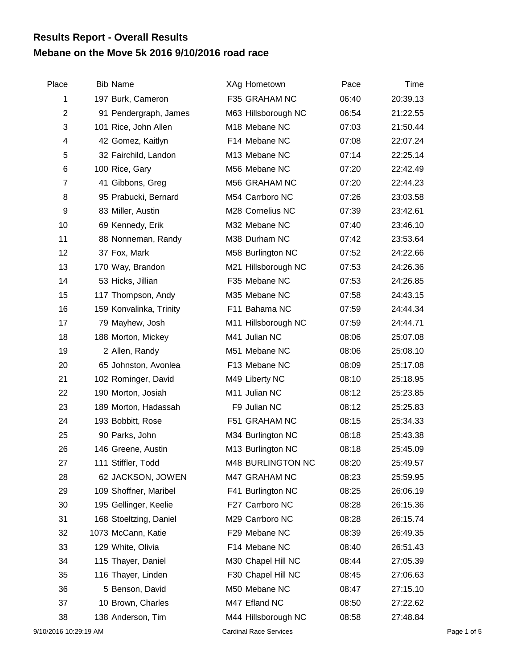## **Mebane on the Move 5k 2016 9/10/2016 road race Results Report - Overall Results**

| Place          | <b>Bib Name</b>         | XAg Hometown        | Pace  | Time     |  |
|----------------|-------------------------|---------------------|-------|----------|--|
| 1              | 197 Burk, Cameron       | F35 GRAHAM NC       | 06:40 | 20:39.13 |  |
| $\overline{2}$ | 91 Pendergraph, James   | M63 Hillsborough NC | 06:54 | 21:22.55 |  |
| 3              | 101 Rice, John Allen    | M18 Mebane NC       | 07:03 | 21:50.44 |  |
| 4              | 42 Gomez, Kaitlyn       | F14 Mebane NC       | 07:08 | 22:07.24 |  |
| 5              | 32 Fairchild, Landon    | M13 Mebane NC       | 07:14 | 22:25.14 |  |
| 6              | 100 Rice, Gary          | M56 Mebane NC       | 07:20 | 22:42.49 |  |
| $\overline{7}$ | 41 Gibbons, Greg        | M56 GRAHAM NC       | 07:20 | 22:44.23 |  |
| 8              | 95 Prabucki, Bernard    | M54 Carrboro NC     | 07:26 | 23:03.58 |  |
| 9              | 83 Miller, Austin       | M28 Cornelius NC    | 07:39 | 23:42.61 |  |
| 10             | 69 Kennedy, Erik        | M32 Mebane NC       | 07:40 | 23:46.10 |  |
| 11             | 88 Nonneman, Randy      | M38 Durham NC       | 07:42 | 23:53.64 |  |
| 12             | 37 Fox, Mark            | M58 Burlington NC   | 07:52 | 24:22.66 |  |
| 13             | 170 Way, Brandon        | M21 Hillsborough NC | 07:53 | 24:26.36 |  |
| 14             | 53 Hicks, Jillian       | F35 Mebane NC       | 07:53 | 24:26.85 |  |
| 15             | 117 Thompson, Andy      | M35 Mebane NC       | 07:58 | 24:43.15 |  |
| 16             | 159 Konvalinka, Trinity | F11 Bahama NC       | 07:59 | 24:44.34 |  |
| 17             | 79 Mayhew, Josh         | M11 Hillsborough NC | 07:59 | 24:44.71 |  |
| 18             | 188 Morton, Mickey      | M41 Julian NC       | 08:06 | 25:07.08 |  |
| 19             | 2 Allen, Randy          | M51 Mebane NC       | 08:06 | 25:08.10 |  |
| 20             | 65 Johnston, Avonlea    | F13 Mebane NC       | 08:09 | 25:17.08 |  |
| 21             | 102 Rominger, David     | M49 Liberty NC      | 08:10 | 25:18.95 |  |
| 22             | 190 Morton, Josiah      | M11 Julian NC       | 08:12 | 25:23.85 |  |
| 23             | 189 Morton, Hadassah    | F9 Julian NC        | 08:12 | 25:25.83 |  |
| 24             | 193 Bobbitt, Rose       | F51 GRAHAM NC       | 08:15 | 25:34.33 |  |
| 25             | 90 Parks, John          | M34 Burlington NC   | 08:18 | 25:43.38 |  |
| 26             | 146 Greene, Austin      | M13 Burlington NC   | 08:18 | 25:45.09 |  |
| 27             | 111 Stiffler, Todd      | M48 BURLINGTON NC   | 08:20 | 25:49.57 |  |
| 28             | 62 JACKSON, JOWEN       | M47 GRAHAM NC       | 08:23 | 25:59.95 |  |
| 29             | 109 Shoffner, Maribel   | F41 Burlington NC   | 08:25 | 26:06.19 |  |
| 30             | 195 Gellinger, Keelie   | F27 Carrboro NC     | 08:28 | 26:15.36 |  |
| 31             | 168 Stoeltzing, Daniel  | M29 Carrboro NC     | 08:28 | 26:15.74 |  |
| 32             | 1073 McCann, Katie      | F29 Mebane NC       | 08:39 | 26:49.35 |  |
| 33             | 129 White, Olivia       | F14 Mebane NC       | 08:40 | 26:51.43 |  |
| 34             | 115 Thayer, Daniel      | M30 Chapel Hill NC  | 08:44 | 27:05.39 |  |
| 35             | 116 Thayer, Linden      | F30 Chapel Hill NC  | 08:45 | 27:06.63 |  |
| 36             | 5 Benson, David         | M50 Mebane NC       | 08:47 | 27:15.10 |  |
| 37             | 10 Brown, Charles       | M47 Efland NC       | 08:50 | 27:22.62 |  |
| 38             | 138 Anderson, Tim       | M44 Hillsborough NC | 08:58 | 27:48.84 |  |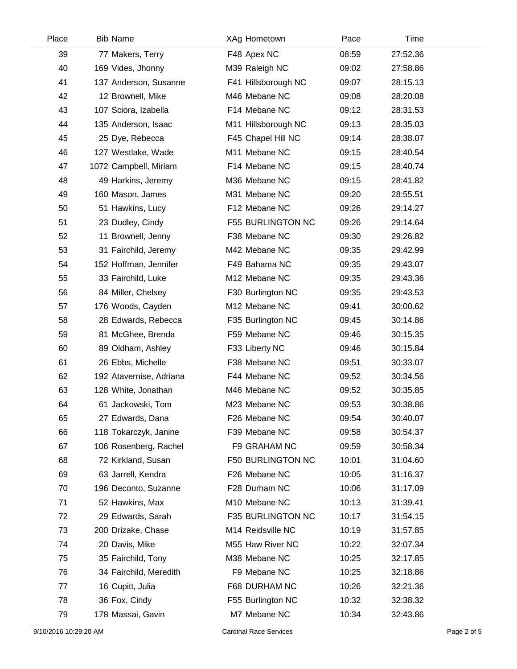| Place | <b>Bib Name</b>         | XAg Hometown        | Pace  | Time     |  |
|-------|-------------------------|---------------------|-------|----------|--|
| 39    | 77 Makers, Terry        | F48 Apex NC         | 08:59 | 27:52.36 |  |
| 40    | 169 Vides, Jhonny       | M39 Raleigh NC      | 09:02 | 27:58.86 |  |
| 41    | 137 Anderson, Susanne   | F41 Hillsborough NC | 09:07 | 28:15.13 |  |
| 42    | 12 Brownell, Mike       | M46 Mebane NC       | 09:08 | 28:20.08 |  |
| 43    | 107 Sciora, Izabella    | F14 Mebane NC       | 09:12 | 28:31.53 |  |
| 44    | 135 Anderson, Isaac     | M11 Hillsborough NC | 09:13 | 28:35.03 |  |
| 45    | 25 Dye, Rebecca         | F45 Chapel Hill NC  | 09:14 | 28:38.07 |  |
| 46    | 127 Westlake, Wade      | M11 Mebane NC       | 09:15 | 28:40.54 |  |
| 47    | 1072 Campbell, Miriam   | F14 Mebane NC       | 09:15 | 28:40.74 |  |
| 48    | 49 Harkins, Jeremy      | M36 Mebane NC       | 09:15 | 28:41.82 |  |
| 49    | 160 Mason, James        | M31 Mebane NC       | 09:20 | 28:55.51 |  |
| 50    | 51 Hawkins, Lucy        | F12 Mebane NC       | 09:26 | 29:14.27 |  |
| 51    | 23 Dudley, Cindy        | F55 BURLINGTON NC   | 09:26 | 29:14.64 |  |
| 52    | 11 Brownell, Jenny      | F38 Mebane NC       | 09:30 | 29:26.82 |  |
| 53    | 31 Fairchild, Jeremy    | M42 Mebane NC       | 09:35 | 29:42.99 |  |
| 54    | 152 Hoffman, Jennifer   | F49 Bahama NC       | 09:35 | 29:43.07 |  |
| 55    | 33 Fairchild, Luke      | M12 Mebane NC       | 09:35 | 29:43.36 |  |
| 56    | 84 Miller, Chelsey      | F30 Burlington NC   | 09:35 | 29:43.53 |  |
| 57    | 176 Woods, Cayden       | M12 Mebane NC       | 09:41 | 30:00.62 |  |
| 58    | 28 Edwards, Rebecca     | F35 Burlington NC   | 09:45 | 30:14.86 |  |
| 59    | 81 McGhee, Brenda       | F59 Mebane NC       | 09:46 | 30:15.35 |  |
| 60    | 89 Oldham, Ashley       | F33 Liberty NC      | 09:46 | 30:15.84 |  |
| 61    | 26 Ebbs, Michelle       | F38 Mebane NC       | 09:51 | 30:33.07 |  |
| 62    | 192 Atavernise, Adriana | F44 Mebane NC       | 09:52 | 30:34.56 |  |
| 63    | 128 White, Jonathan     | M46 Mebane NC       | 09:52 | 30:35.85 |  |
| 64    | 61 Jackowski, Tom       | M23 Mebane NC       | 09:53 | 30:38.86 |  |
| 65    | 27 Edwards, Dana        | F26 Mebane NC       | 09:54 | 30:40.07 |  |
| 66    | 118 Tokarczyk, Janine   | F39 Mebane NC       | 09:58 | 30:54.37 |  |
| 67    | 106 Rosenberg, Rachel   | F9 GRAHAM NC        | 09:59 | 30:58.34 |  |
| 68    | 72 Kirkland, Susan      | F50 BURLINGTON NC   | 10:01 | 31:04.60 |  |
| 69    | 63 Jarrell, Kendra      | F26 Mebane NC       | 10:05 | 31:16.37 |  |
| 70    | 196 Deconto, Suzanne    | F28 Durham NC       | 10:06 | 31:17.09 |  |
| 71    | 52 Hawkins, Max         | M10 Mebane NC       | 10:13 | 31:39.41 |  |
| 72    | 29 Edwards, Sarah       | F35 BURLINGTON NC   | 10:17 | 31:54.15 |  |
| 73    | 200 Drizake, Chase      | M14 Reidsville NC   | 10:19 | 31:57.85 |  |
| 74    | 20 Davis, Mike          | M55 Haw River NC    | 10:22 | 32:07.34 |  |
| 75    | 35 Fairchild, Tony      | M38 Mebane NC       | 10:25 | 32:17.85 |  |
| 76    | 34 Fairchild, Meredith  | F9 Mebane NC        | 10:25 | 32:18.86 |  |
| 77    | 16 Cupitt, Julia        | F68 DURHAM NC       | 10:26 | 32:21.36 |  |
| 78    | 36 Fox, Cindy           | F55 Burlington NC   | 10:32 | 32:38.32 |  |
| 79    | 178 Massai, Gavin       | M7 Mebane NC        | 10:34 | 32:43.86 |  |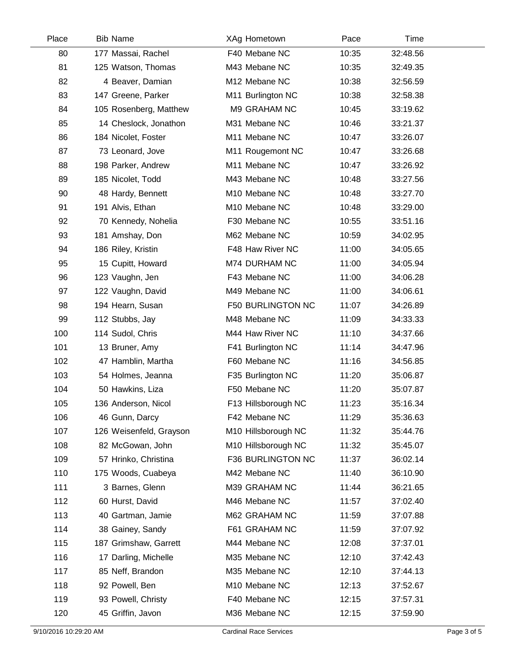| Place | <b>Bib Name</b>         | XAg Hometown        | Pace  | Time     |  |
|-------|-------------------------|---------------------|-------|----------|--|
| 80    | 177 Massai, Rachel      | F40 Mebane NC       | 10:35 | 32:48.56 |  |
| 81    | 125 Watson, Thomas      | M43 Mebane NC       | 10:35 | 32:49.35 |  |
| 82    | 4 Beaver, Damian        | M12 Mebane NC       | 10:38 | 32:56.59 |  |
| 83    | 147 Greene, Parker      | M11 Burlington NC   | 10:38 | 32:58.38 |  |
| 84    | 105 Rosenberg, Matthew  | M9 GRAHAM NC        | 10:45 | 33:19.62 |  |
| 85    | 14 Cheslock, Jonathon   | M31 Mebane NC       | 10:46 | 33:21.37 |  |
| 86    | 184 Nicolet, Foster     | M11 Mebane NC       | 10:47 | 33:26.07 |  |
| 87    | 73 Leonard, Jove        | M11 Rougemont NC    | 10:47 | 33:26.68 |  |
| 88    | 198 Parker, Andrew      | M11 Mebane NC       | 10:47 | 33:26.92 |  |
| 89    | 185 Nicolet, Todd       | M43 Mebane NC       | 10:48 | 33:27.56 |  |
| 90    | 48 Hardy, Bennett       | M10 Mebane NC       | 10:48 | 33:27.70 |  |
| 91    | 191 Alvis, Ethan        | M10 Mebane NC       | 10:48 | 33:29.00 |  |
| 92    | 70 Kennedy, Nohelia     | F30 Mebane NC       | 10:55 | 33:51.16 |  |
| 93    | 181 Amshay, Don         | M62 Mebane NC       | 10:59 | 34:02.95 |  |
| 94    | 186 Riley, Kristin      | F48 Haw River NC    | 11:00 | 34:05.65 |  |
| 95    | 15 Cupitt, Howard       | M74 DURHAM NC       | 11:00 | 34:05.94 |  |
| 96    | 123 Vaughn, Jen         | F43 Mebane NC       | 11:00 | 34:06.28 |  |
| 97    | 122 Vaughn, David       | M49 Mebane NC       | 11:00 | 34:06.61 |  |
| 98    | 194 Hearn, Susan        | F50 BURLINGTON NC   | 11:07 | 34:26.89 |  |
| 99    | 112 Stubbs, Jay         | M48 Mebane NC       | 11:09 | 34:33.33 |  |
| 100   | 114 Sudol, Chris        | M44 Haw River NC    | 11:10 | 34:37.66 |  |
| 101   | 13 Bruner, Amy          | F41 Burlington NC   | 11:14 | 34:47.96 |  |
| 102   | 47 Hamblin, Martha      | F60 Mebane NC       | 11:16 | 34:56.85 |  |
| 103   | 54 Holmes, Jeanna       | F35 Burlington NC   | 11:20 | 35:06.87 |  |
| 104   | 50 Hawkins, Liza        | F50 Mebane NC       | 11:20 | 35:07.87 |  |
| 105   | 136 Anderson, Nicol     | F13 Hillsborough NC | 11:23 | 35:16.34 |  |
| 106   | 46 Gunn, Darcy          | F42 Mebane NC       | 11:29 | 35:36.63 |  |
| 107   | 126 Weisenfeld, Grayson | M10 Hillsborough NC | 11:32 | 35:44.76 |  |
| 108   | 82 McGowan, John        | M10 Hillsborough NC | 11:32 | 35:45.07 |  |
| 109   | 57 Hrinko, Christina    | F36 BURLINGTON NC   | 11:37 | 36:02.14 |  |
| 110   | 175 Woods, Cuabeya      | M42 Mebane NC       | 11:40 | 36:10.90 |  |
| 111   | 3 Barnes, Glenn         | M39 GRAHAM NC       | 11:44 | 36:21.65 |  |
| 112   | 60 Hurst, David         | M46 Mebane NC       | 11:57 | 37:02.40 |  |
| 113   | 40 Gartman, Jamie       | M62 GRAHAM NC       | 11:59 | 37:07.88 |  |
| 114   | 38 Gainey, Sandy        | F61 GRAHAM NC       | 11:59 | 37:07.92 |  |
| 115   | 187 Grimshaw, Garrett   | M44 Mebane NC       | 12:08 | 37:37.01 |  |
| 116   | 17 Darling, Michelle    | M35 Mebane NC       | 12:10 | 37:42.43 |  |
| 117   | 85 Neff, Brandon        | M35 Mebane NC       | 12:10 | 37:44.13 |  |
| 118   | 92 Powell, Ben          | M10 Mebane NC       | 12:13 | 37:52.67 |  |
| 119   | 93 Powell, Christy      | F40 Mebane NC       | 12:15 | 37:57.31 |  |
| 120   | 45 Griffin, Javon       | M36 Mebane NC       | 12:15 | 37:59.90 |  |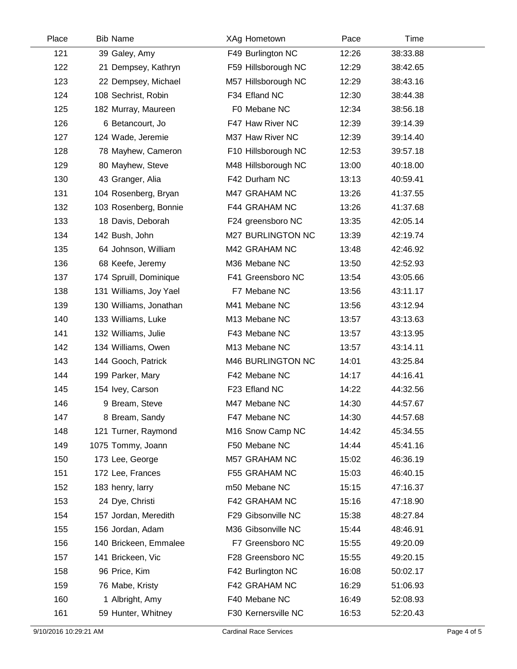| Place | <b>Bib Name</b>        | XAg Hometown        | Pace  | Time     |  |
|-------|------------------------|---------------------|-------|----------|--|
| 121   | 39 Galey, Amy          | F49 Burlington NC   | 12:26 | 38:33.88 |  |
| 122   | 21 Dempsey, Kathryn    | F59 Hillsborough NC | 12:29 | 38:42.65 |  |
| 123   | 22 Dempsey, Michael    | M57 Hillsborough NC | 12:29 | 38:43.16 |  |
| 124   | 108 Sechrist, Robin    | F34 Efland NC       | 12:30 | 38:44.38 |  |
| 125   | 182 Murray, Maureen    | F0 Mebane NC        | 12:34 | 38:56.18 |  |
| 126   | 6 Betancourt, Jo       | F47 Haw River NC    | 12:39 | 39:14.39 |  |
| 127   | 124 Wade, Jeremie      | M37 Haw River NC    | 12:39 | 39:14.40 |  |
| 128   | 78 Mayhew, Cameron     | F10 Hillsborough NC | 12:53 | 39:57.18 |  |
| 129   | 80 Mayhew, Steve       | M48 Hillsborough NC | 13:00 | 40:18.00 |  |
| 130   | 43 Granger, Alia       | F42 Durham NC       | 13:13 | 40:59.41 |  |
| 131   | 104 Rosenberg, Bryan   | M47 GRAHAM NC       | 13:26 | 41:37.55 |  |
| 132   | 103 Rosenberg, Bonnie  | F44 GRAHAM NC       | 13:26 | 41:37.68 |  |
| 133   | 18 Davis, Deborah      | F24 greensboro NC   | 13:35 | 42:05.14 |  |
| 134   | 142 Bush, John         | M27 BURLINGTON NC   | 13:39 | 42:19.74 |  |
| 135   | 64 Johnson, William    | M42 GRAHAM NC       | 13:48 | 42:46.92 |  |
| 136   | 68 Keefe, Jeremy       | M36 Mebane NC       | 13:50 | 42:52.93 |  |
| 137   | 174 Spruill, Dominique | F41 Greensboro NC   | 13:54 | 43:05.66 |  |
| 138   | 131 Williams, Joy Yael | F7 Mebane NC        | 13:56 | 43:11.17 |  |
| 139   | 130 Williams, Jonathan | M41 Mebane NC       | 13:56 | 43:12.94 |  |
| 140   | 133 Williams, Luke     | M13 Mebane NC       | 13:57 | 43:13.63 |  |
| 141   | 132 Williams, Julie    | F43 Mebane NC       | 13:57 | 43:13.95 |  |
| 142   | 134 Williams, Owen     | M13 Mebane NC       | 13:57 | 43:14.11 |  |
| 143   | 144 Gooch, Patrick     | M46 BURLINGTON NC   | 14:01 | 43:25.84 |  |
| 144   | 199 Parker, Mary       | F42 Mebane NC       | 14:17 | 44:16.41 |  |
| 145   | 154 Ivey, Carson       | F23 Efland NC       | 14:22 | 44:32.56 |  |
| 146   | 9 Bream, Steve         | M47 Mebane NC       | 14:30 | 44:57.67 |  |
| 147   | 8 Bream, Sandy         | F47 Mebane NC       | 14:30 | 44:57.68 |  |
| 148   | 121 Turner, Raymond    | M16 Snow Camp NC    | 14:42 | 45:34.55 |  |
| 149   | 1075 Tommy, Joann      | F50 Mebane NC       | 14:44 | 45:41.16 |  |
| 150   | 173 Lee, George        | M57 GRAHAM NC       | 15:02 | 46:36.19 |  |
| 151   | 172 Lee, Frances       | F55 GRAHAM NC       | 15:03 | 46:40.15 |  |
| 152   | 183 henry, larry       | m50 Mebane NC       | 15:15 | 47:16.37 |  |
| 153   | 24 Dye, Christi        | F42 GRAHAM NC       | 15:16 | 47:18.90 |  |
| 154   | 157 Jordan, Meredith   | F29 Gibsonville NC  | 15:38 | 48:27.84 |  |
| 155   | 156 Jordan, Adam       | M36 Gibsonville NC  | 15:44 | 48:46.91 |  |
| 156   | 140 Brickeen, Emmalee  | F7 Greensboro NC    | 15:55 | 49:20.09 |  |
| 157   | 141 Brickeen, Vic      | F28 Greensboro NC   | 15:55 | 49:20.15 |  |
| 158   | 96 Price, Kim          | F42 Burlington NC   | 16:08 | 50:02.17 |  |
| 159   | 76 Mabe, Kristy        | F42 GRAHAM NC       | 16:29 | 51:06.93 |  |
| 160   | 1 Albright, Amy        | F40 Mebane NC       | 16:49 | 52:08.93 |  |
| 161   | 59 Hunter, Whitney     | F30 Kernersville NC | 16:53 | 52:20.43 |  |